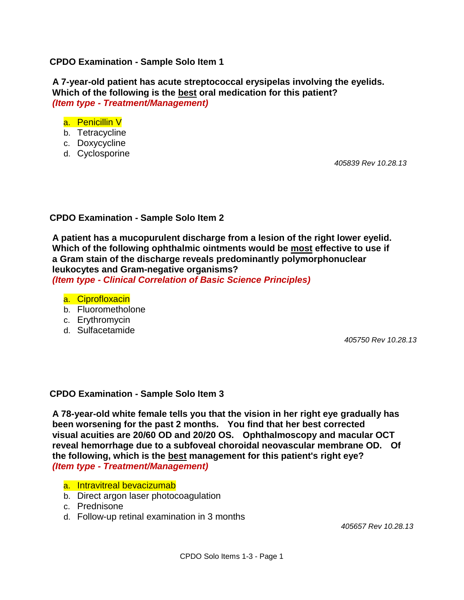### **CPDO Examination - Sample Solo Item 1**

 **A 7-year-old patient has acute streptococcal erysipelas involving the eyelids. Which of the following is the best oral medication for this patient?** *(Item type - Treatment/Management)*

#### a. Penicillin V

- b. Tetracycline
- c. Doxycycline
- d. Cyclosporine

 *405839 Rev 10.28.13*

# **CPDO Examination - Sample Solo Item 2**

 **A patient has a mucopurulent discharge from a lesion of the right lower eyelid. Which of the following ophthalmic ointments would be most effective to use if a Gram stain of the discharge reveals predominantly polymorphonuclear leukocytes and Gram-negative organisms?** *(Item type - Clinical Correlation of Basic Science Principles)*

- a. Ciprofloxacin
- b. Fluorometholone
- c. Erythromycin
- d. Sulfacetamide

 *405750 Rev 10.28.13*

#### **CPDO Examination - Sample Solo Item 3**

 **A 78-year-old white female tells you that the vision in her right eye gradually has been worsening for the past 2 months. You find that her best corrected visual acuities are 20/60 OD and 20/20 OS. Ophthalmoscopy and macular OCT reveal hemorrhage due to a subfoveal choroidal neovascular membrane OD. Of the following, which is the best management for this patient's right eye?**   *(Item type - Treatment/Management)*

- a. Intravitreal bevacizumab
- b. Direct argon laser photocoagulation
- c. Prednisone
- d. Follow-up retinal examination in 3 months

 *405657 Rev 10.28.13*